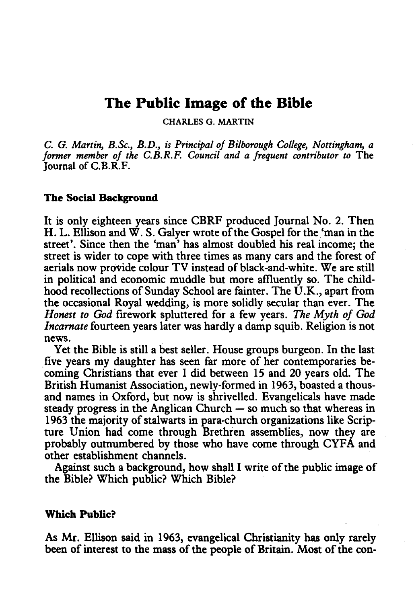# The Public Image of the Bible

CHARLES G. MARTIN

*C. G. Martin, B.Sc., B.D., is Principal of Bi/borough College, Nottingham, a former member of the C.B.R.F. Council and a frequent contributor to* The Journal of C.B.R.F.

#### The Social Background

It is only eighteen years since CBRF produced Journal No. 2. Then H. L. Ellison and W. S. Galyer wrote of the Gospel for the 'man in the street'. Since then the 'man' has almost doubled his real income; the street is wider to cope with three times as many cars and the forest of aerials now provide colour TV instead of black-and-white. We are still in political and economic muddle but more affiuently so. The childhood recollections of Sunday School are fainter. The  $\dot{\text{U}}.\text{K}$ ., apart from the occasional Royal wedding, is more solidly secular than ever. The *Honest to God* firework spluttered for a few years. *The Myth of God Incarnate* fourteen years later was hardly a damp squib. Religion is not news.

Yet the Bible is still a best seller. House groups burgeon. In the last . five years my daughter has seen far more of her contemporaries becoming Christians that ever I did between 15 and 20 years old. The British Humanist Association, newly-formed in 1963, boasted a thousand names in Oxford, but now is shrivelled. Evangelicals have made steady progress in the Anglican Church  $-$  so much so that whereas in 1963 the majority of stalwarts in para-church organizations like Scripture Union had come through Brethren assemblies, now they are probably outnumbered by those who have come through CYFA and other establishment channels.

Against such a background, how shall I write of the public image of the Bible? Which public? Which Bible?

#### Which Public?

As Mr. Ellison said in 1963, evangelical Christianity has only rarely been of interest to the mass of the people of Britain. Most of the con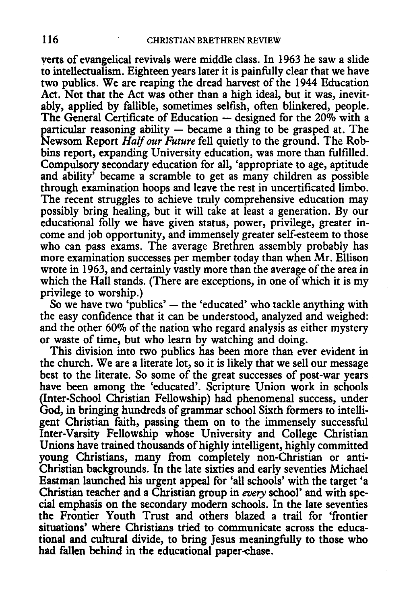yerts of evangelical revivals were middle class. In 1963 he saw a slide to intellectualism. Eighteen years later it is painfully clear that we have two publics. We are reaping the dread harvest of the 1944 Education Act. Not that the Act was other than a high ideal, but it was, inevitably, applied by fallible, sometimes selfish, often blinkered, people. The General Certificate of Education  $-$  designed for the 20% with a particular reasoning ability  $-$  became a thing to be grasped at. The Newsom Report *Half our Future* fell quietly to the ground. The Robbins report, expanding University education, was more than fulfilled. Compulsory secondary education for all, 'appropriate to age, aptitude and ability' became a scramble to get as many children as possible through examination hoops and leave the rest in uncertificated limbo. The recent struggles to achieve truly comprehensive education may possibly bring healing, but it will take at least a generation. By our educational folly we have given status, power, privilege, greater income and job opportunity, and immensely greater self-esteem to those who can pass exams. The average Brethren assembly probably has more examination successes per member today than when Mr. Ellison wrote in 1963, and certainly vastly more than the average of the area in which the Hall stands. (There are exceptions, in one of which it is my privilege to worship.)

So we have two 'publics'  $-$  the 'educated' who tackle anything with the easy confidence that it can be understood, analyzed and weighed: and the other 60% of the nation who regard analysis as either mystery or waste of time, but who learn by watching and doing.

This division into two publics has been more than ever evident in the church. We are a literate lot, so it is likely that we sell our message best to the literate. So some of the great successes of post-war years have been among the 'educated'. Scripture Union work in schools (Inter-School Christian Fellowship) had phenomenal success, under God, in bringing hundreds of grammar school Sixth formers to intelligent Christian faith, passing them on to the immensely successful Inter-Varsity Fellowship whose University and College Christian Unions have trained thousands of highly intelligent, highly committed young Christians, many from completely non-Christian or anti-Christian backgrounds. In the late sixties and early seventies Michael Eastman launched his urgent appeal for 'all schools' with the target 'a Christian teacher and a Christian group in *every* school' and with special emphasis on the secondary modern schools. In the late seventies the Frontier Youth Trust and others blazed a trail for 'frontier situations' where Christians tried to communicate across the educational and cultural divide, to bring Jesus meaningfully to those who had fallen behind in the educational paper-chase.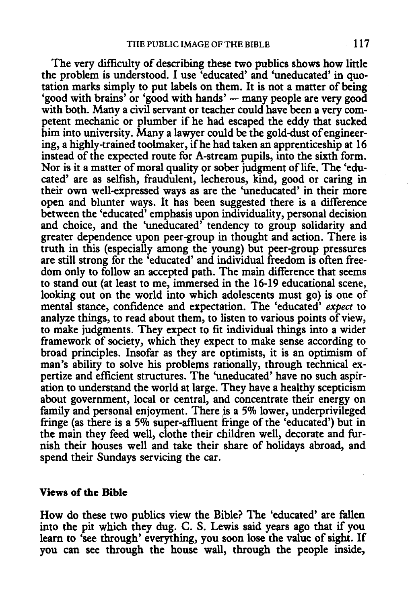The very difficulty of describing these two publics shows how little the problem is understood. I use 'educated' and 'uneducated' in quotation marks simply to put labels on them. It is not a matter of being 'good with brains' or 'good with hands' — many people are very good with both. Many a civil servant or teacher could have been a very competent mechanic or plumber if he had escaped the eddy that sucked him into university. Many a lawyer could be the gold-dust of engineering, a highly-trained toolmaker, ifhe had taken an apprenticeship at 16 instead of the expected route for A-stream pupils, into the sixth form. Nor is it a matter of moral quality or sober judgment of life. The 'educated' are as selfish, fraudulent, lecherous, kind, good or caring in their own well-expressed ways as are the 'uneducated' in their more open and blunter ways. It has been suggested there is a difference between the 'educated' emphasis upon individuality, personal decision and choice, and the 'uneducated' tendency to group solidarity and greater dependence upon peer-group in thought and action. There is truth in this (especially among the young) but peer-group pressures are still strong for the 'educated' and individual freedom is often freedom only to follow an accepted path. The main difference that seems to stand out (at least to me, immersed in the 16-19 educational scene, looking out on the world into which adolescents must go) is one of mental stance, confidence and expectation. The 'educated' *expect* to analyze things, to read about them, to listen to various points of view, to make judgments. They expect to fit individual things into a wider framework of society, which they expect to make sense according to broad principles. Insofar as they are optimists, it is an optimism of man's ability to solve his problems rationally, through technical expertize and efficient structures. The 'uneducated' have no such aspiration to understand the world at large. They have a healthy scepticism about government, local or central, and concentrate their energy on family and personal enjoyment. There is a 5% lower, underprivileged fringe (as there is a 5% super-affiuent fringe of the 'educated') but in the main they feed well, clothe their children well, decorate and furnish their houses well and take their share of holidays abroad, and spend their Sundays servicing the car.

#### Views of the Bible

How do these two publics view the Bible? The 'educated' are fallen into the pit which they dug. C. S. Lewis said years ago that if you learn to 'see through' everything, you soon lose the value of sight. If you can see through the house wall, through the people inside,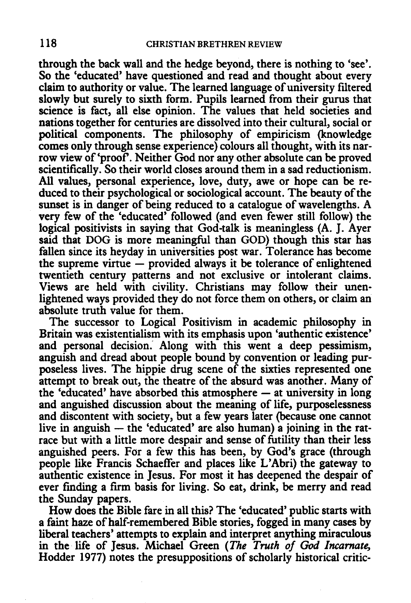through the back wall and the hedge beyond, there is nothing to 'see'. So the 'educated' have questioned and read and thought about every claim to authority or value. The learned language of university filtered slowly but surely to sixth form. Pupils learned from their gurus that science is fact, all else opinion. The values that held societies and nations together for centuries are dissolved into their cultural, social or political components. The philosophy of empiricism (knowledge comes only through sense experience) colours all thought, with its narrow view of'proof. Neither God nor any other absolute can be proved scientifically. So their world closes around them in a sad reductionism. All values, personal experience, love, duty, awe or hope can be reduced to their psychological or sociological account. The beauty of the sunset is in danger of being reduced to a catalogue of wavelengths. A very few of the 'educated' followed (and even fewer still follow) the logical positivists in saying that God-talk is meaningless (A. J. Ayer said that DOG is more meaningful than GOD) though this star has fallen since its heyday in universities post war. Tolerance has become the supreme virtue  $-$  provided always it be tolerance of enlightened twentieth century patterns and not exclusive or intolerant claims. Views are held with civility. Christians may follow their unenlightened ways provided they do not force them on others, or claim an absolute truth value for them.

The successor to Logical Positivism in academic philosophy in Britain was existentialism with its emphasis upon 'authentic existence' and personal decision. Along with this went a deep pessimism, anguish and dread about people bound by convention or leading purposeless lives. The hippie drug scene of the sixties represented one attempt to break out, the theatre of the absurd was another. Many of the 'educated' have absorbed this atmosphere  $-$  at university in long and anguished discussion about the meaning of life, purposelessness and discontent with society, but a few years later (because one cannot live in anguish  $-$  the 'educated' are also human) a joining in the ratrace but with a little more despair and sense of futility than their less anguished peers. For a few this has been, by God's grace (through people like Francis Schaeffer and places like L'Abri) the gateway to authentic existence in Jesus. For most it has deepened the despair of ever finding a firm basis for living. So eat, drink, be merry and read the Sunday papers.

How does the Bible fare in all this? The 'educated' public starts with a faint haze of half-remembered Bible stories, fogged in many cases by liberal teachers' attempts to explain and interpret anything miraculous in the life of Jesus. Michael Green *(The Truth of God Incarnate,*  Hodder 1977) notes the presuppositions of scholarly historical critic-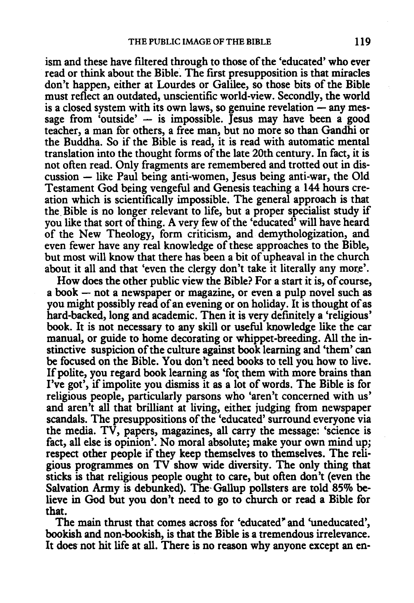ism and these have filtered through to those of the 'educated' who ever read or think about the Bible. The first presupposition is that miracles don't happen, either at Lourdes or Galilee, so those bits of the Bible must reflect an outdated, unscientific world-view. Secondly, the world  $\frac{1}{2}$  is a closed system with its own laws, so genuine revelation  $\frac{1}{2}$  any message from 'outside'  $-$  is impossible. Jesus may have been a good teacher, a man for others, a free man, but no more so than Gandhi or the Buddha. So if the Bible is read, it is read with automatic mental translation into the thought forms of the late 20th century. In fact, it is not often read. Only fragments are remembered and trotted out in dis $cussion - like Paul being anti-women, Jesus being anti-war, the Old$ Testament God being vengeful and Genesis teaching a 144 hours creation which is scientifically impossible. The general approach is that the. Bible is no longer relevant to life, but a proper specialist study if you like that sort of thing. A very few of the 'educated' will have heard of the New Theology, form criticism, and demythologization, and even fewer have any real knowledge of these approaches to the Bible, but most will know that there has been a bit of upheaval in the church about it all and that 'even the clergy don't take it literally any more'.

How does the other public view the Bible? For a start it is, of course, a book - not a newspaper or magazine, or even a pulp novel such as you might possibly read of an evening or on holiday. It is thought of as hard-backed, long and academic. Then it is very defmitely a 'religious' book. It is not necessary to any skill or useful knowledge like the car manual, or guide to home decorating or whippet-breeding. All the instinctive suspicion of the culture against book learning and 'them' can be focused on the Bible. You don't need books to tell you how to live. If polite, you regard book learning as 'for them with more brains than I've got', if impolite you dismiss it as a lot of words. The Bible is for religious people, particularly parsons who 'aren't concerned with us' and aren't all that brilliant at living, either judging from newspaper scandals. The presuppositions of the 'educated' surround everyone via the media. TV, papers, magazines, all carry the message: 'science is fact, all else is opinion'. No moral absolute; make your own mind up; respect other people if they keep themselves to themselves. The religious programmes on TV show wide diversity. The only thing that sticks is that religious people ought to care, but often don't (even the Salvation Army is debunked). The· Gallup pollsters are told 85% believe in God but you don't need to go to church or read a Bible for that.

The main thrust that comes across for 'educated" and 'uneducated', bookish and non-bookish, is that the Bible is a tremendous irrelevance. It does not hit life at all. There is no reason why anyone except an en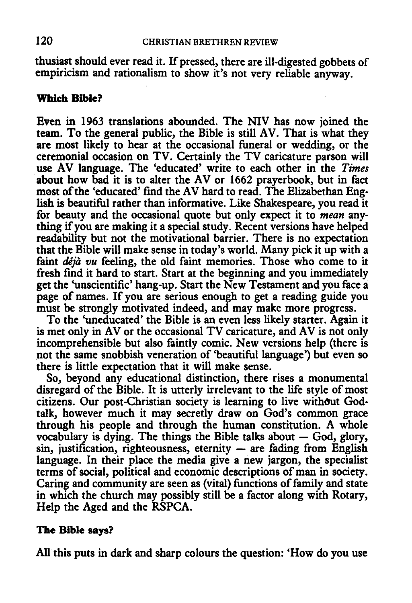thusiast should ever read it. If pressed, there are ill-digested gobbets of empiricism and rationalism to show it's not very reliable anyway.

### **Which Bible?**

Even in 1963 translations abounded. The NIV has now joined the team. To the general public, the Bible is still AV. That is what they are most likely to hear at the occasional funeral or wedding, or the ceremonial occasion on TV. Certainly the TV caricature parson will use AV language. The 'educated' write to each other in the *Times*  about how bad it is to alter the AV or 1662 prayerbook, but in fact most of the 'educated' find the AV hard to read. The Elizabethan English is beautiful rather than informative. Like Shakespeare, you read it for beauty and the occasional quote but only expect it to *mean* anything if you are making it a special study. Recent versions have helped readability but not the motivational barrier. There is no expectation that the Bible will make sense in today's world. Many pick it up with a faint *deja vu* feeling, the old faint memories. Those who come to it fresh find it hard to start. Start at the beginning and you immediately get the 'unscientific' hang-up. Start the New Testament and you face a page of names. If you are serious enough to get a reading guide you must be strongly motivated indeed, and may make more progress.

To the 'uneducated' the Bible is an even less likely starter. Again it is met only in AV or the occasional TV caricature, and AV is not only incomprehensible but also faintly comic. New versions help (there is not the same snobbish veneration of 'beautiful language') but even so there is little expectation that it will make sense.

So, beyond any educational distinction, there rises a monumental disregard of the Bible. It is utterly irrelevant to the life style of most citizens. Our post-Christian society is learning to live without Godtalk, however much it may secretly draw on God's common grace through his people and through the human constitution. A whole vocabulary is dying. The things the Bible talks about  $-$  God, glory,  $sin,$  justification, righteousness, eternity  $-$  are fading from English language. In their place the media give a new jargon, the specialist terms of social, political and economic descriptions of man in society. Caring and community are seen as (vital) functions of family and state in which the church may possibly still be a factor along with Rotary, Help the Aged and the RSPCA.

## **The Bible** says?

All this puts in dark and sharp colours the question: 'How do you use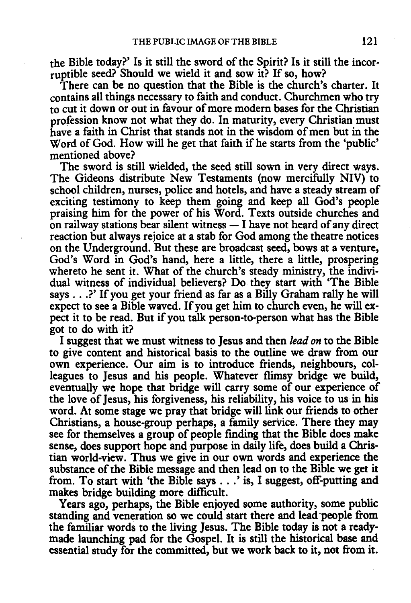the Bible today?' Is it still the sword of the Spirit? Is it still the incorruptible seed? Should we wield it and sow it? If so, how?

There can be no question that the Bible is the church's charter. It contains all things necessary to faith and conduct. Churchmen who try to cut it down or out in favour of more modern bases for the Christian profession know not what they do. In maturity, every Christian must have a faith in Christ that stands not in the wisdom of men but in the Word of God. How will he get that faith if he starts from the 'public' mentioned above?

The sword is still wielded, the seed still sown in very direct ways. The Gideons distribute New Testaments (now mercifully NIV) to school children, nurses, police and hotels, and have a steady stream of exciting testimony to keep them going and keep all God's people praising him for the power of his Word. Texts outside churches and on railway stations bear silent witness  $-$  I have not heard of any direct reaction but always rejoice at a stab for God among the theatre notices on the Underground. But these are broadcast seed, bows at a venture, God's Word in God's hand, here a little, there a little, prospering whereto he sent it. What of the church's steady ministry, the individual witness of individual believers? Do they start with 'The Bible says ... ?'If you get your friend as far as a Billy Graham rally he will expect to see a Bible waved. If you get him to church even, he will expect it to be read. But if you talk person-to-person what has the Bible got to do with it?

I suggest that we must witness to Jesus and then *lead on* to the Bible to give content and historical basis to the outline we draw from our own experience. Our aim is to introduce friends, neighbours, colleagues to Jesus and his people. Whatever flimsy bridge we build, eventually we hope that bridge will carry some of our experience of the love of Jesus, his forgiveness, his reliability, his voice to us in his word. At some stage we pray that bridge will link our friends to other Christians, a house-group perhaps, a family service. There they may see for themselves a group of people finding that the Bible does make sense, does support hope and purpose in daily life, does build a Christian world-view. Thus we give in our own words and experience the substance of the Bible message and then lead on to the Bible we get it from. To start with 'the Bible says ... 'is, I suggest, off-putting and makes bridge building more difficult.

Years ago, perhaps, the Bible enjoyed some authority, some public standing and veneration so we could start there and lead people from the familiar words to the living Jesus. The Bible today is not a readymade launching pad for the Gospel. It is still the historical base and essential study for the committed, but we work back to it, not from it.